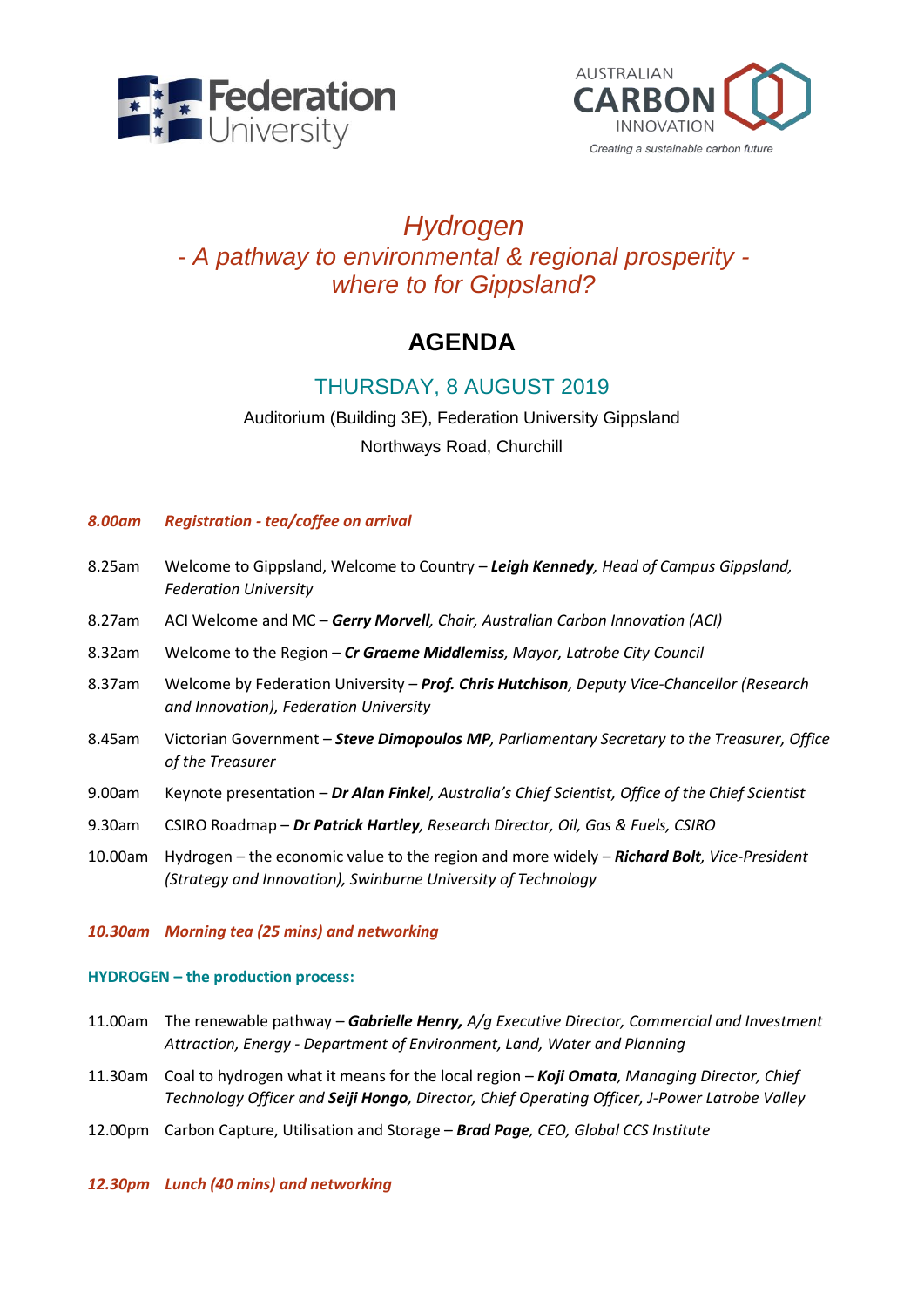



## *Hydrogen - A pathway to environmental & regional prosperity where to for Gippsland?*

# **AGENDA**

## THURSDAY, 8 AUGUST 2019

### Auditorium (Building 3E), Federation University Gippsland Northways Road, Churchill

#### *8.00am Registration - tea/coffee on arrival*

- 8.25am Welcome to Gippsland, Welcome to Country *Leigh Kennedy, Head of Campus Gippsland, Federation University*
- 8.27am ACI Welcome and MC *Gerry Morvell, Chair, Australian Carbon Innovation (ACI)*
- 8.32am Welcome to the Region *Cr Graeme Middlemiss, Mayor, Latrobe City Council*
- 8.37am Welcome by Federation University *– Prof. Chris Hutchison, Deputy Vice-Chancellor (Research and Innovation), Federation University*
- 8.45am Victorian Government *Steve Dimopoulos MP, Parliamentary Secretary to the Treasurer, Office of the Treasurer*
- 9.00am Keynote presentation *Dr Alan Finkel, Australia's Chief Scientist, Office of the Chief Scientist*
- 9.30am CSIRO Roadmap *Dr Patrick Hartley, Research Director, Oil, Gas & Fuels, CSIRO*
- 10.00am Hydrogen the economic value to the region and more widely *Richard Bolt, Vice-President (Strategy and Innovation), Swinburne University of Technology*

#### *10.30am Morning tea (25 mins) and networking*

#### **HYDROGEN – the production process:**

- 11.00am The renewable pathway *Gabrielle Henry, A/g Executive Director, Commercial and Investment Attraction, Energy - Department of Environment, Land, Water and Planning*
- 11.30am Coal to hydrogen what it means for the local region *Koji Omata, Managing Director, Chief Technology Officer and Seiji Hongo, Director, Chief Operating Officer, J-Power Latrobe Valley*
- 12.00pm Carbon Capture, Utilisation and Storage *Brad Page, CEO, Global CCS Institute*

#### *12.30pm Lunch (40 mins) and networking*